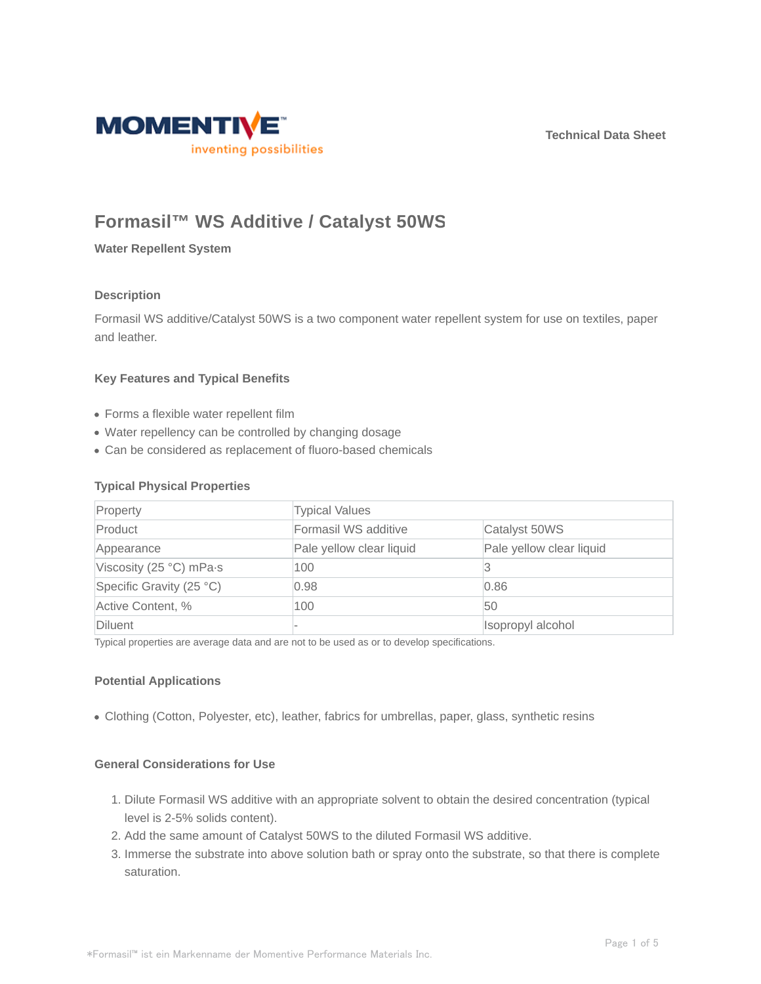**Technical Data Sheet**



# **Formasil™ WS Additive / Catalyst 50WS**

**Water Repellent System**

## **Description**

Formasil WS additive/Catalyst 50WS is a two component water repellent system for use on textiles, paper and leather.

## **Key Features and Typical Benefits**

- Forms a flexible water repellent film
- Water repellency can be controlled by changing dosage
- Can be considered as replacement of fluoro-based chemicals

## **Typical Physical Properties**

| Property                 | <b>Typical Values</b>    |                          |
|--------------------------|--------------------------|--------------------------|
| Product                  | Formasil WS additive     | Catalyst 50WS            |
| Appearance               | Pale yellow clear liquid | Pale yellow clear liquid |
| Viscosity (25 °C) mPa-s  | 100                      | 13                       |
| Specific Gravity (25 °C) | 0.98                     | 0.86                     |
| Active Content, %        | 100                      | 50                       |
| Diluent                  |                          | Isopropyl alcohol        |

Typical properties are average data and are not to be used as or to develop specifications.

## **Potential Applications**

Clothing (Cotton, Polyester, etc), leather, fabrics for umbrellas, paper, glass, synthetic resins

## **General Considerations for Use**

- 1. Dilute Formasil WS additive with an appropriate solvent to obtain the desired concentration (typical level is 2-5% solids content).
- 2. Add the same amount of Catalyst 50WS to the diluted Formasil WS additive.
- 3. Immerse the substrate into above solution bath or spray onto the substrate, so that there is complete saturation.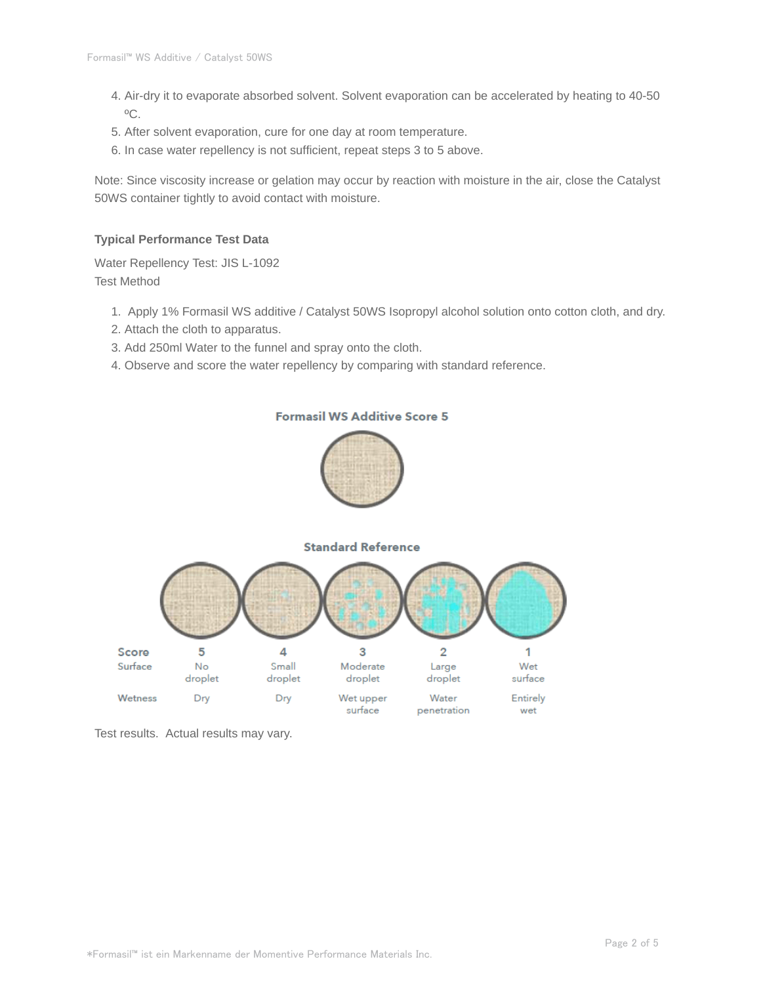- Air-dry it to evaporate absorbed solvent. Solvent evaporation can be accelerated by heating to 40-50 4. ºC.
- 5. After solvent evaporation, cure for one day at room temperature.
- 6. In case water repellency is not sufficient, repeat steps 3 to 5 above.

Note: Since viscosity increase or gelation may occur by reaction with moisture in the air, close the Catalyst 50WS container tightly to avoid contact with moisture.

## **Typical Performance Test Data**

Water Repellency Test: JIS L-1092 Test Method

- 1. Apply 1% Formasil WS additive / Catalyst 50WS Isopropyl alcohol solution onto cotton cloth, and dry.
- 2. Attach the cloth to apparatus.
- 3. Add 250ml Water to the funnel and spray onto the cloth.
- 4. Observe and score the water repellency by comparing with standard reference.



Test results. Actual results may vary.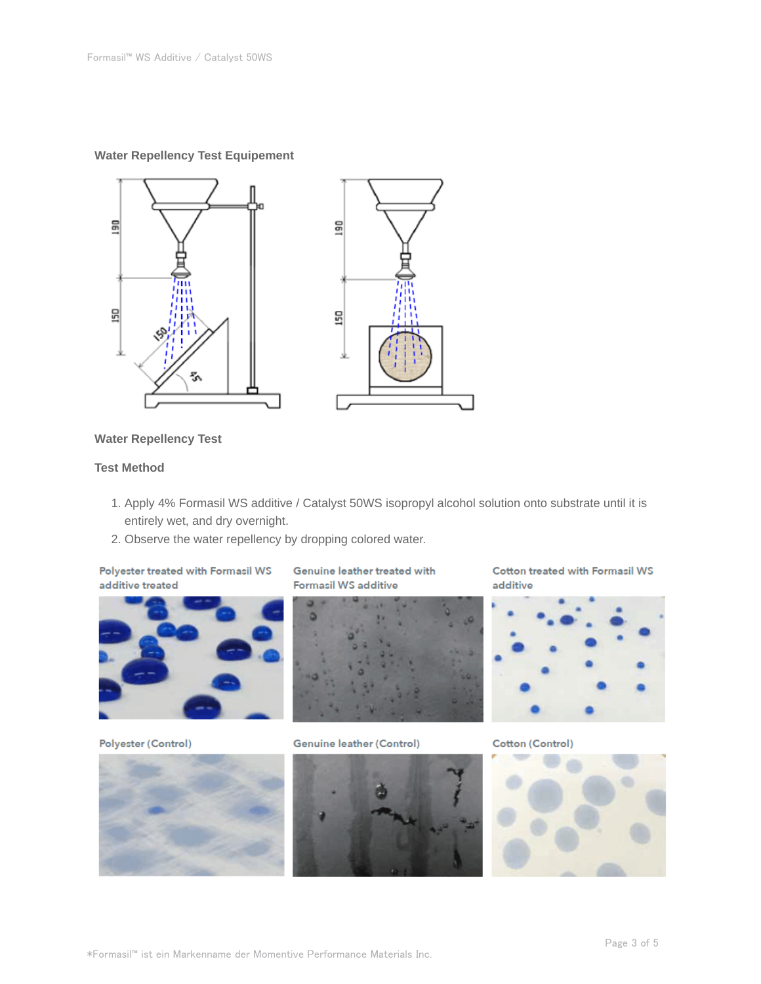## **Water Repellency Test Equipement**



## **Water Repellency Test**

## **Test Method**

- 1. Apply 4% Formasil WS additive / Catalyst 50WS isopropyl alcohol solution onto substrate until it is entirely wet, and dry overnight.
- 2. Observe the water repellency by dropping colored water.

Polyester treated with Formasil WS additive treated



Polyester (Control)

Genuine leather treated with **Formasil WS additive** 



Genuine leather (Control)



Cotton treated with Formasil WS additive



Cotton (Control)

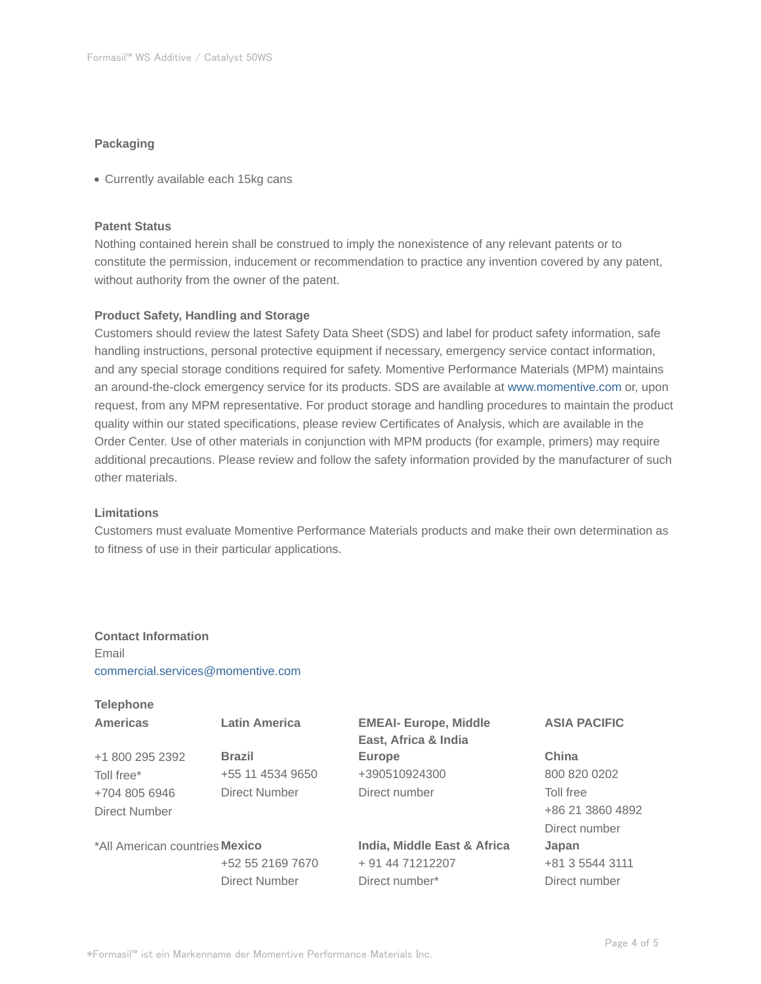## **Packaging**

Currently available each 15kg cans

#### **Patent Status**

Nothing contained herein shall be construed to imply the nonexistence of any relevant patents or to constitute the permission, inducement or recommendation to practice any invention covered by any patent, without authority from the owner of the patent.

#### **Product Safety, Handling and Storage**

Customers should review the latest Safety Data Sheet (SDS) and label for product safety information, safe handling instructions, personal protective equipment if necessary, emergency service contact information, and any special storage conditions required for safety. Momentive Performance Materials (MPM) maintains an around-the-clock emergency service for its products. SDS are available at www.momentive.com or, upon request, from any MPM representative. For product storage and handling procedures to maintain the product quality within our stated specifications, please review Certificates of Analysis, which are available in the Order Center. Use of other materials in conjunction with MPM products (for example, primers) may require additional precautions. Please review and follow the safety information provided by the manufacturer of such other materials.

## **Limitations**

Customers must evaluate Momentive Performance Materials products and make their own determination as to fitness of use in their particular applications.

## **Contact Information** Email commercial.services@momentive.com

| <b>Telephone</b>               |                      |                              |                     |
|--------------------------------|----------------------|------------------------------|---------------------|
| <b>Americas</b>                | <b>Latin America</b> | <b>EMEAI- Europe, Middle</b> | <b>ASIA PACIFIC</b> |
|                                |                      | East, Africa & India         |                     |
| +1 800 295 2392                | <b>Brazil</b>        | <b>Europe</b>                | China               |
| Toll free*                     | +55 11 4534 9650     | +390510924300                | 800 820 0202        |
| +704 805 6946                  | Direct Number        | Direct number                | Toll free           |
| Direct Number                  |                      |                              | +86 21 3860 4892    |
|                                |                      |                              | Direct number       |
| *All American countries Mexico |                      | India, Middle East & Africa  | Japan               |
|                                | +52 55 2169 7670     | + 91 44 71212207             | +81 3 5544 3111     |
|                                | <b>Direct Number</b> | Direct number*               | Direct number       |
|                                |                      |                              |                     |